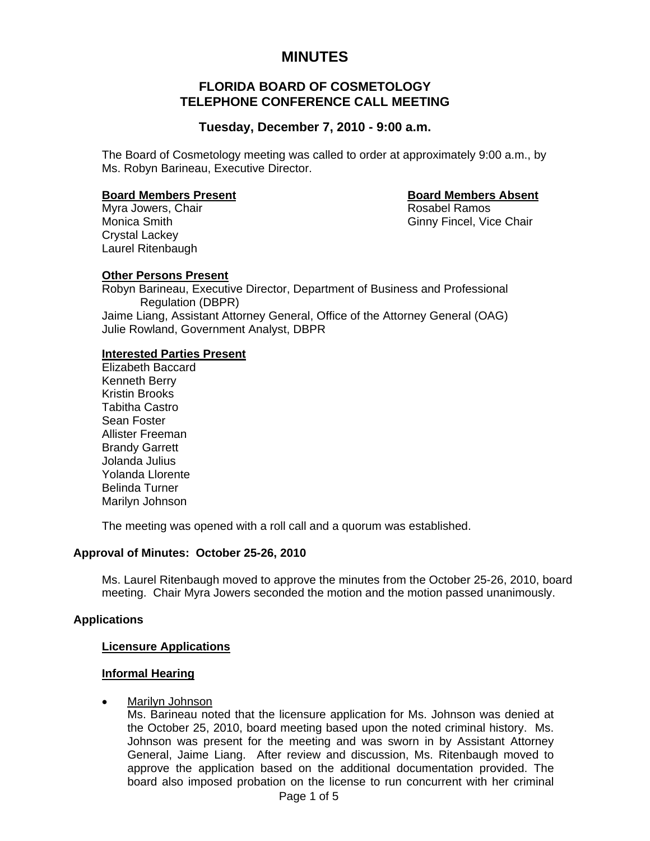# **MINUTES**

# **FLORIDA BOARD OF COSMETOLOGY TELEPHONE CONFERENCE CALL MEETING**

# **Tuesday, December 7, 2010 - 9:00 a.m.**

The Board of Cosmetology meeting was called to order at approximately 9:00 a.m., by Ms. Robyn Barineau, Executive Director.

#### **Board Members Present Contract Contract Board Members Absent**

Monica Smith Ginny Fincel, Vice Chair

Myra Jowers, Chair **Rosabel Ramos** Rosabel Ramos Crystal Lackey Laurel Ritenbaugh

## **Other Persons Present**

Robyn Barineau, Executive Director, Department of Business and Professional Regulation (DBPR) Jaime Liang, Assistant Attorney General, Office of the Attorney General (OAG) Julie Rowland, Government Analyst, DBPR

## **Interested Parties Present**

 Elizabeth Baccard Kenneth Berry Kristin Brooks Tabitha Castro Sean Foster Allister Freeman Brandy Garrett Jolanda Julius Yolanda Llorente Belinda Turner Marilyn Johnson

The meeting was opened with a roll call and a quorum was established.

## **Approval of Minutes: October 25-26, 2010**

Ms. Laurel Ritenbaugh moved to approve the minutes from the October 25-26, 2010, board meeting. Chair Myra Jowers seconded the motion and the motion passed unanimously.

## **Applications**

#### **Licensure Applications**

#### **Informal Hearing**

• Marilyn Johnson

Ms. Barineau noted that the licensure application for Ms. Johnson was denied at the October 25, 2010, board meeting based upon the noted criminal history. Ms. Johnson was present for the meeting and was sworn in by Assistant Attorney General, Jaime Liang. After review and discussion, Ms. Ritenbaugh moved to approve the application based on the additional documentation provided. The board also imposed probation on the license to run concurrent with her criminal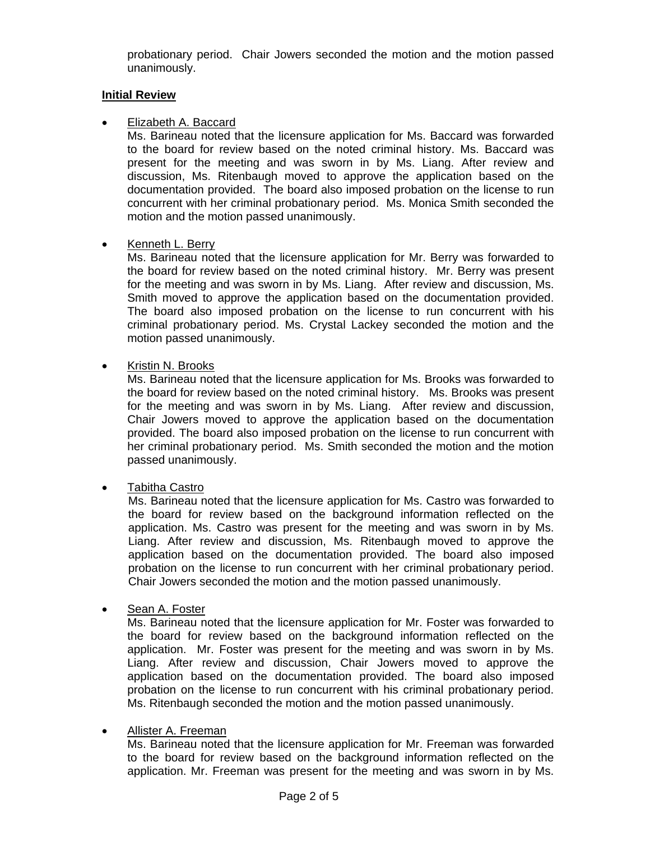probationary period. Chair Jowers seconded the motion and the motion passed unanimously.

#### **Initial Review**

## • Elizabeth A. Baccard

Ms. Barineau noted that the licensure application for Ms. Baccard was forwarded to the board for review based on the noted criminal history. Ms. Baccard was present for the meeting and was sworn in by Ms. Liang. After review and discussion, Ms. Ritenbaugh moved to approve the application based on the documentation provided. The board also imposed probation on the license to run concurrent with her criminal probationary period. Ms. Monica Smith seconded the motion and the motion passed unanimously.

## • Kenneth L. Berry

Ms. Barineau noted that the licensure application for Mr. Berry was forwarded to the board for review based on the noted criminal history. Mr. Berry was present for the meeting and was sworn in by Ms. Liang. After review and discussion, Ms. Smith moved to approve the application based on the documentation provided. The board also imposed probation on the license to run concurrent with his criminal probationary period. Ms. Crystal Lackey seconded the motion and the motion passed unanimously.

• Kristin N. Brooks

Ms. Barineau noted that the licensure application for Ms. Brooks was forwarded to the board for review based on the noted criminal history. Ms. Brooks was present for the meeting and was sworn in by Ms. Liang. After review and discussion, Chair Jowers moved to approve the application based on the documentation provided. The board also imposed probation on the license to run concurrent with her criminal probationary period. Ms. Smith seconded the motion and the motion passed unanimously.

• Tabitha Castro

Ms. Barineau noted that the licensure application for Ms. Castro was forwarded to the board for review based on the background information reflected on the application. Ms. Castro was present for the meeting and was sworn in by Ms. Liang. After review and discussion, Ms. Ritenbaugh moved to approve the application based on the documentation provided. The board also imposed probation on the license to run concurrent with her criminal probationary period. Chair Jowers seconded the motion and the motion passed unanimously.

Sean A. Foster

Ms. Barineau noted that the licensure application for Mr. Foster was forwarded to the board for review based on the background information reflected on the application. Mr. Foster was present for the meeting and was sworn in by Ms. Liang. After review and discussion, Chair Jowers moved to approve the application based on the documentation provided. The board also imposed probation on the license to run concurrent with his criminal probationary period. Ms. Ritenbaugh seconded the motion and the motion passed unanimously.

• Allister A. Freeman

Ms. Barineau noted that the licensure application for Mr. Freeman was forwarded to the board for review based on the background information reflected on the application. Mr. Freeman was present for the meeting and was sworn in by Ms.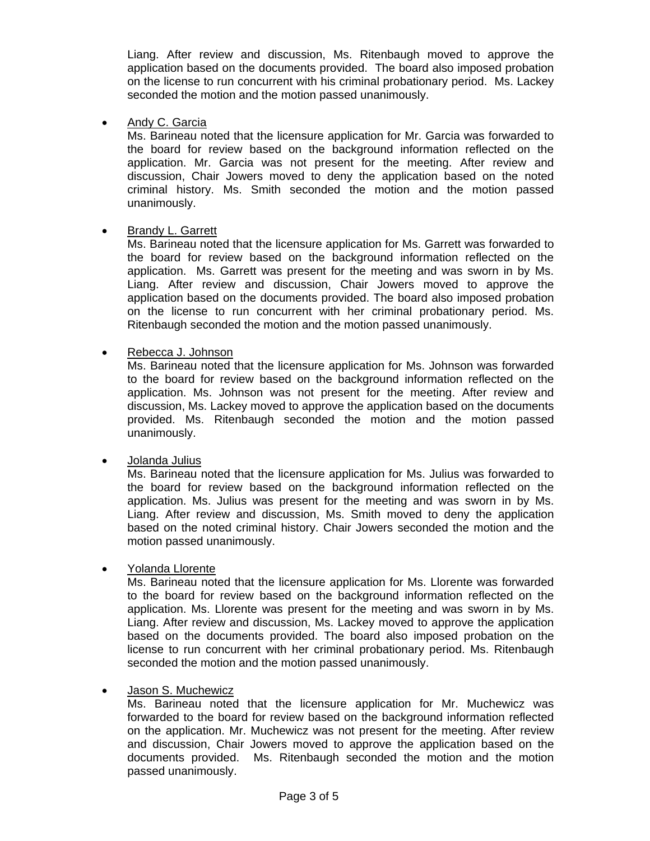Liang. After review and discussion, Ms. Ritenbaugh moved to approve the application based on the documents provided. The board also imposed probation on the license to run concurrent with his criminal probationary period. Ms. Lackey seconded the motion and the motion passed unanimously.

## • Andy C. Garcia

Ms. Barineau noted that the licensure application for Mr. Garcia was forwarded to the board for review based on the background information reflected on the application. Mr. Garcia was not present for the meeting. After review and discussion, Chair Jowers moved to deny the application based on the noted criminal history. Ms. Smith seconded the motion and the motion passed unanimously.

#### • Brandy L. Garrett

Ms. Barineau noted that the licensure application for Ms. Garrett was forwarded to the board for review based on the background information reflected on the application. Ms. Garrett was present for the meeting and was sworn in by Ms. Liang. After review and discussion, Chair Jowers moved to approve the application based on the documents provided. The board also imposed probation on the license to run concurrent with her criminal probationary period. Ms. Ritenbaugh seconded the motion and the motion passed unanimously.

• Rebecca J. Johnson

Ms. Barineau noted that the licensure application for Ms. Johnson was forwarded to the board for review based on the background information reflected on the application. Ms. Johnson was not present for the meeting. After review and discussion, Ms. Lackey moved to approve the application based on the documents provided. Ms. Ritenbaugh seconded the motion and the motion passed unanimously.

## • Jolanda Julius

Ms. Barineau noted that the licensure application for Ms. Julius was forwarded to the board for review based on the background information reflected on the application. Ms. Julius was present for the meeting and was sworn in by Ms. Liang. After review and discussion, Ms. Smith moved to deny the application based on the noted criminal history. Chair Jowers seconded the motion and the motion passed unanimously.

• Yolanda Llorente

Ms. Barineau noted that the licensure application for Ms. Llorente was forwarded to the board for review based on the background information reflected on the application. Ms. Llorente was present for the meeting and was sworn in by Ms. Liang. After review and discussion, Ms. Lackey moved to approve the application based on the documents provided. The board also imposed probation on the license to run concurrent with her criminal probationary period. Ms. Ritenbaugh seconded the motion and the motion passed unanimously.

## • Jason S. Muchewicz

Ms. Barineau noted that the licensure application for Mr. Muchewicz was forwarded to the board for review based on the background information reflected on the application. Mr. Muchewicz was not present for the meeting. After review and discussion, Chair Jowers moved to approve the application based on the documents provided. Ms. Ritenbaugh seconded the motion and the motion passed unanimously.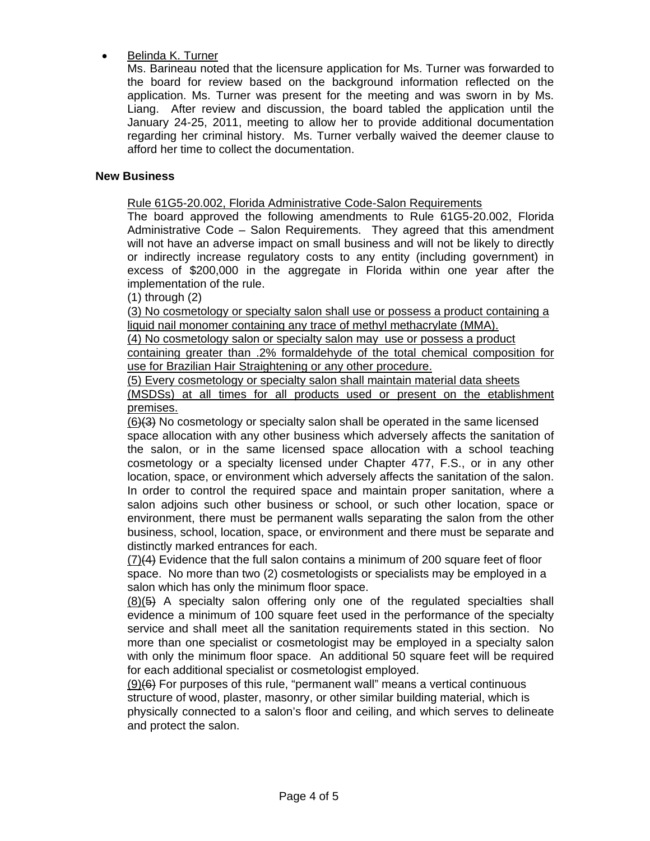# • Belinda K. Turner

Ms. Barineau noted that the licensure application for Ms. Turner was forwarded to the board for review based on the background information reflected on the application. Ms. Turner was present for the meeting and was sworn in by Ms. Liang. After review and discussion, the board tabled the application until the January 24-25, 2011, meeting to allow her to provide additional documentation regarding her criminal history. Ms. Turner verbally waived the deemer clause to afford her time to collect the documentation.

# **New Business**

Rule 61G5-20.002, Florida Administrative Code-Salon Requirements

The board approved the following amendments to Rule 61G5-20.002, Florida Administrative Code – Salon Requirements. They agreed that this amendment will not have an adverse impact on small business and will not be likely to directly or indirectly increase regulatory costs to any entity (including government) in excess of \$200,000 in the aggregate in Florida within one year after the implementation of the rule.

(1) through (2)

(3) No cosmetology or specialty salon shall use or possess a product containing a liquid nail monomer containing any trace of methyl methacrylate (MMA).

(4) No cosmetology salon or specialty salon may use or possess a product

containing greater than .2% formaldehyde of the total chemical composition for use for Brazilian Hair Straightening or any other procedure.

(5) Every cosmetology or specialty salon shall maintain material data sheets

(MSDSs) at all times for all products used or present on the etablishment premises.

(6)(3) No cosmetology or specialty salon shall be operated in the same licensed space allocation with any other business which adversely affects the sanitation of the salon, or in the same licensed space allocation with a school teaching cosmetology or a specialty licensed under Chapter 477, F.S., or in any other location, space, or environment which adversely affects the sanitation of the salon. In order to control the required space and maintain proper sanitation, where a salon adjoins such other business or school, or such other location, space or environment, there must be permanent walls separating the salon from the other business, school, location, space, or environment and there must be separate and distinctly marked entrances for each.

(7)(4) Evidence that the full salon contains a minimum of 200 square feet of floor space. No more than two (2) cosmetologists or specialists may be employed in a salon which has only the minimum floor space.

(8)(5) A specialty salon offering only one of the regulated specialties shall evidence a minimum of 100 square feet used in the performance of the specialty service and shall meet all the sanitation requirements stated in this section. No more than one specialist or cosmetologist may be employed in a specialty salon with only the minimum floor space. An additional 50 square feet will be required for each additional specialist or cosmetologist employed.

 $(9)(6)$  For purposes of this rule, "permanent wall" means a vertical continuous structure of wood, plaster, masonry, or other similar building material, which is physically connected to a salon's floor and ceiling, and which serves to delineate and protect the salon.